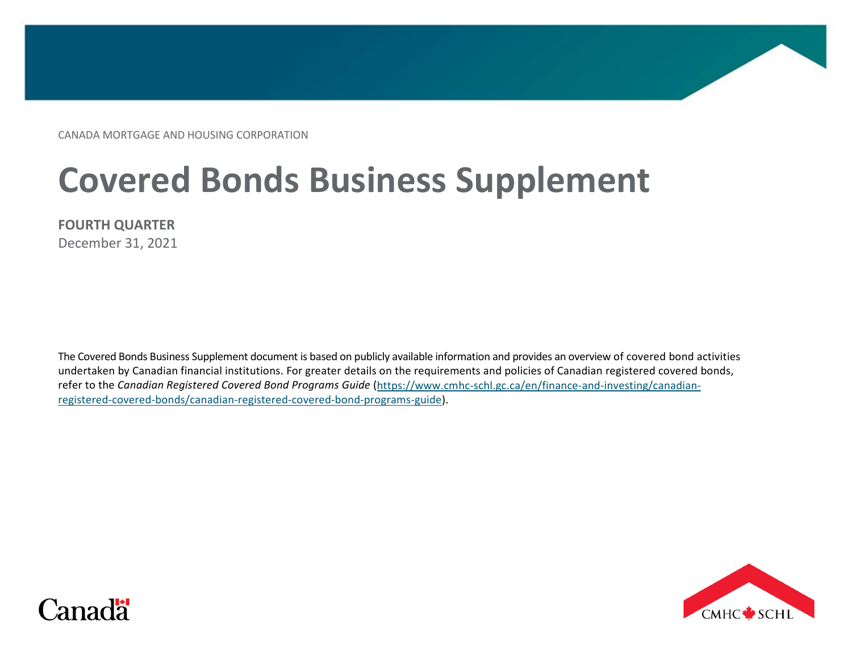CANADA MORTGAGE AND HOUSING CORPORATION

# **Covered Bonds Business Supplement**

December 31, 2021

The Covered Bonds Business Supplement document is based on publicly available information and provides an overview of covered bond activities undertaken by Canadian financial institutions. For greater details on the requirements and policies of Canadian registered covered bonds, refer to the *Canadian Registered Covered Bond Programs Guide* [\(https://www.cmhc-schl.gc.ca/en/finance-and-investing/canadian](https://www.cmhc-schl.gc.ca/en/finance-and-investing/canadian-registered-covered-bonds/canadian-registered-covered-bond-programs-guide)[registered-covered-bonds/canadian-registered-covered-bond-programs-guide\)](https://www.cmhc-schl.gc.ca/en/finance-and-investing/canadian-registered-covered-bonds/canadian-registered-covered-bond-programs-guide).



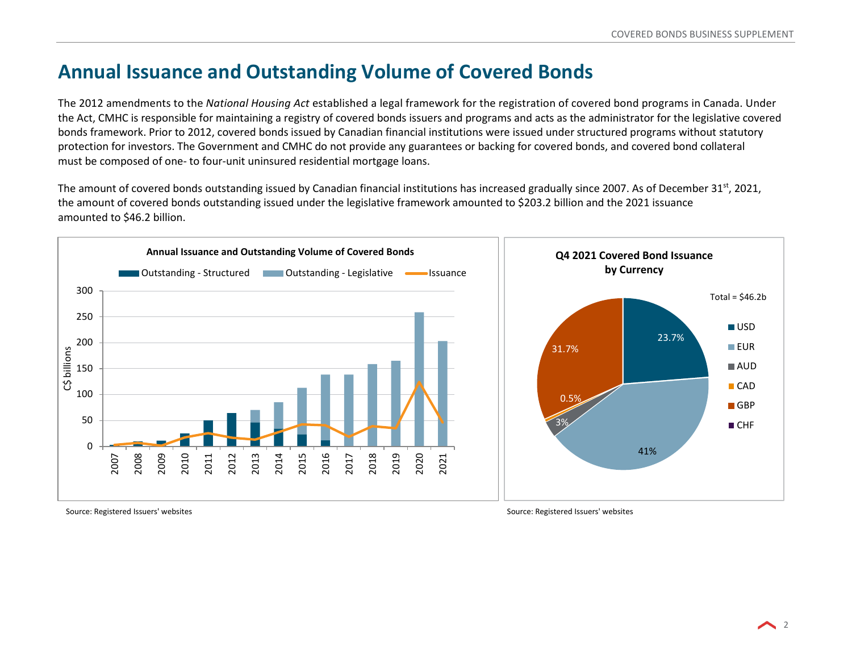## **Annual Issuance and Outstanding Volume of Covered Bonds**

The 2012 amendments to the *National Housing Act* established a legal framework for the registration of covered bond programs in Canada. Under the Act, CMHC is responsible for maintaining a registry of covered bonds issuers and programs and acts as the administrator for the legislative covered bonds framework. Prior to 2012, covered bonds issued by Canadian financial institutions were issued under structured programs without statutory protection for investors. The Government and CMHC do not provide any guarantees or backing for covered bonds, and covered bond collateral must be composed of one- to four-unit uninsured residential mortgage loans.

The amount of covered bonds outstanding issued by Canadian financial institutions has increased gradually since 2007. As of December 31<sup>st</sup>, 2021, the amount of covered bonds outstanding issued under the legislative framework amounted to \$203.2 billion and the 2021 issuance amounted to \$46.2 billion.



Source: Registered Issuers' websites Source: Registered Issuers' websites Source: Registered Issuers' websites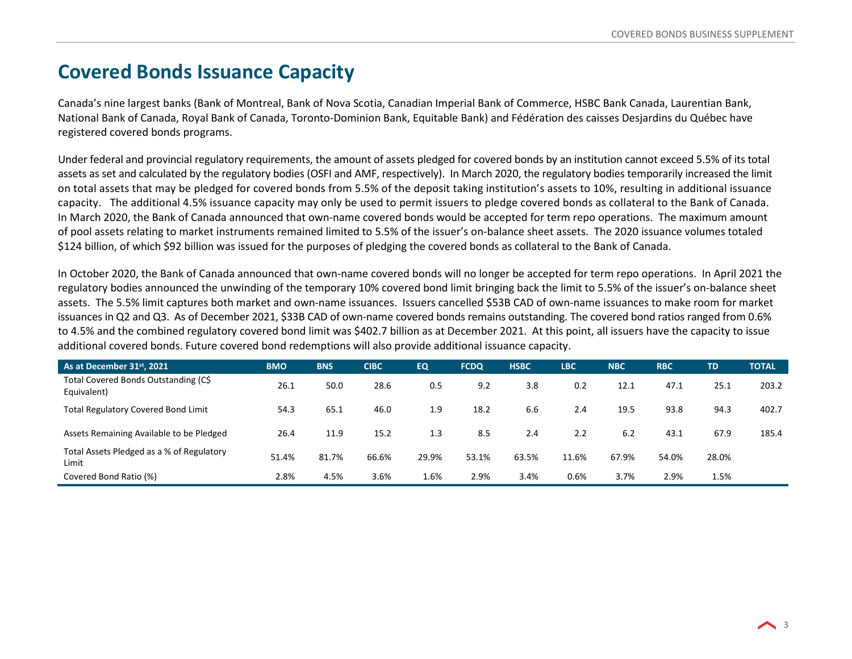#### **Covered Bonds Issuance Capacity**

Canada's nine largest banks (Bank of Montreal, Bank of Nova Scotia, Canadian Imperial Bank of Commerce, HSBC Bank Canada, Laurentian Bank, National Bank of Canada, Royal Bank of Canada, Toronto-Dominion Bank, Equitable Bank) and Fédération des caisses Desjardins du Québec have registered covered bonds programs.

Under federal and provincial regulatory requirements, the amount of assets pledged for covered bonds by an institution cannot exceed 5.5% of its total assets as set and calculated by the regulatory bodies (OSFI and AMF, respectively). In March 2020, the regulatory bodies temporarily increased the limit on total assets that may be pledged for covered bonds from 5.5% of the deposit taking institution's assets to 10%, resulting in additional issuance capacity. The additional 4.5% issuance capacity may only be used to permit issuers to pledge covered bonds as collateral to the Bank of Canada. In March 2020, the Bank of Canada announced that own-name covered bonds would be accepted for term repo operations. The maximum amount of pool assets relating to market instruments remained limited to 5.5% of the issuer's on-balance sheet assets. The 2020 issuance volumes totaled \$124 billion, of which \$92 billion was issued for the purposes of pledging the covered bonds as collateral to the Bank of Canada.

In October 2020, the Bank of Canada announced that own-name covered bonds will no longer be accepted for term repo operations. In April 2021 the regulatory bodies announced the unwinding of the temporary 10% covered bond limit bringing back the limit to 5.5% of the issuer's on-balance sheet assets. The 5.5% limit captures both market and own-name issuances. Issuers cancelled \$53B CAD of own-name issuances to make room for market issuances in Q2 and Q3. As of December 2021, \$33B CAD of own-name covered bonds remains outstanding. The covered bond ratios ranged from 0.6% to 4.5% and the combined regulatory covered bond limit was \$402.7 billion as at December 2021. At this point, all issuers have the capacity to issue additional covered bonds. Future covered bond redemptions will also provide additional issuance capacity.

| As at December 31 <sup>st</sup> , 2021              | <b>BMO</b> | <b>BNS</b> | <b>CIBC</b> | <b>EQ</b> | <b>FCDQ</b> | <b>HSBC</b> | <b>LBC</b> | <b>NBC</b> | <b>RBC</b> | TD    | <b>TOTAL</b> |
|-----------------------------------------------------|------------|------------|-------------|-----------|-------------|-------------|------------|------------|------------|-------|--------------|
| Total Covered Bonds Outstanding (C\$<br>Equivalent) | 26.1       | 50.0       | 28.6        | 0.5       | 9.2         | 3.8         | 0.2        | 12.1       | 47.1       | 25.1  | 203.2        |
| <b>Total Regulatory Covered Bond Limit</b>          | 54.3       | 65.1       | 46.0        | 1.9       | 18.2        | 6.6         | 2.4        | 19.5       | 93.8       | 94.3  | 402.7        |
| Assets Remaining Available to be Pledged            | 26.4       | 11.9       | 15.2        | 1.3       | 8.5         | 2.4         | 2.2        | 6.2        | 43.1       | 67.9  | 185.4        |
| Total Assets Pledged as a % of Regulatory<br>Limit  | 51.4%      | 81.7%      | 66.6%       | 29.9%     | 53.1%       | 63.5%       | 11.6%      | 67.9%      | 54.0%      | 28.0% |              |
| Covered Bond Ratio (%)                              | 2.8%       | 4.5%       | 3.6%        | 5%،       | 2.9%        | 3.4%        | 0.6%       | 3.7%       | 2.9%       | 1.5%  |              |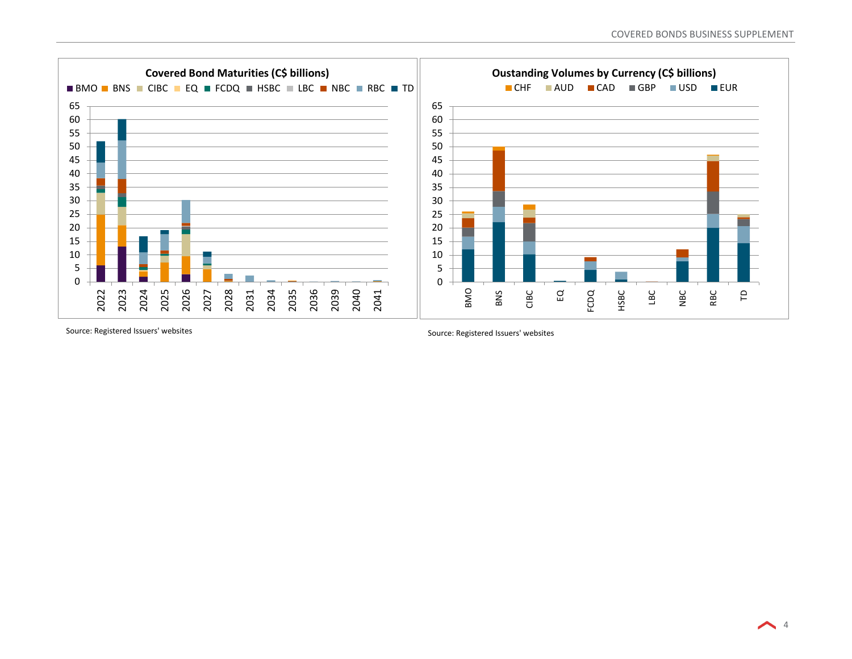

Source: Registered Issuers' websites Source: Registered Issuers' websites Source: Registered Issuers' websites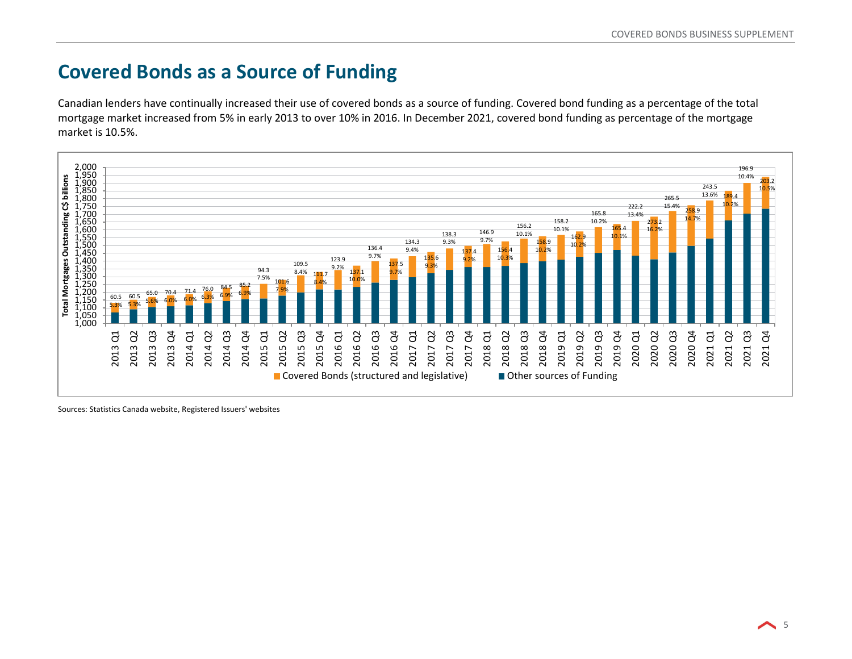## **Covered Bonds as a Source of Funding**

Canadian lenders have continually increased their use of covered bonds as a source of funding. Covered bond funding as a percentage of the total mortgage market increased from 5% in early 2013 to over 10% in 2016. In December 2021, covered bond funding as percentage of the mortgage market is 10.5%.



Sources: Statistics Canada website, Registered Issuers' websites